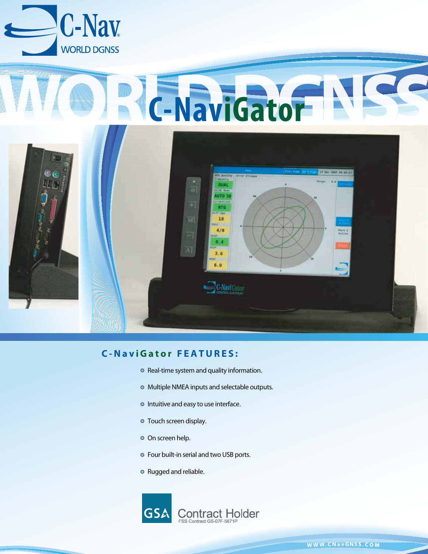

# **C-NaviGator N**



# **C-Nav iGato r FEATURE S :**

- **◎** Real-time system and quality information.
- Multiple NMEA inputs and selectable outputs.
- <sup>o</sup> Intuitive and easy to use interface.
- Touch screen display.
- o On screen help.
- Four built-in serial and two USB ports.
- Rugged and reliable.